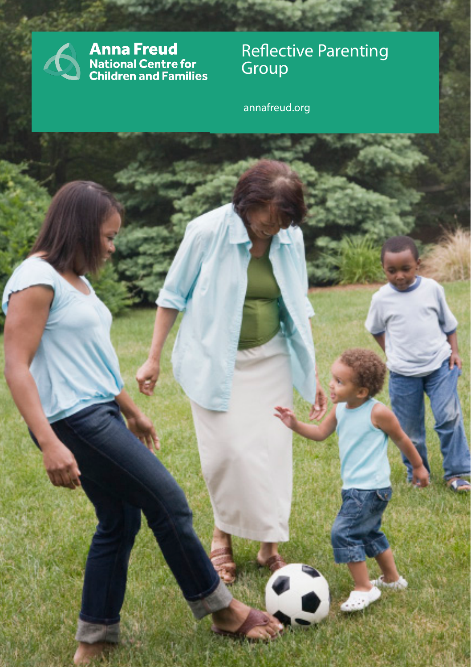

**Anna Freud**<br>National Centre for<br>Children and Families

Group **Carl Communist Communist Communist** Reflective Parenting

annafreud.org annafreud.org

**Alternati**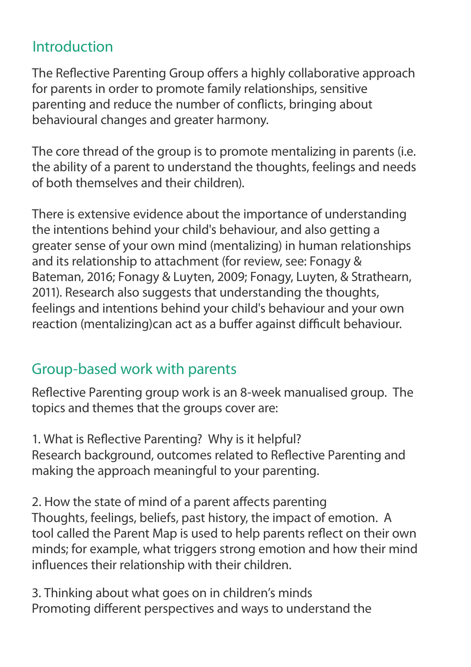## Introduction

The Reflective Parenting Group offers a highly collaborative approach for parents in order to promote family relationships, sensitive parenting and reduce the number of conflicts, bringing about behavioural changes and greater harmony.

The core thread of the group is to promote mentalizing in parents (i.e. the ability of a parent to understand the thoughts, feelings and needs of both themselves and their children).

There is extensive evidence about the importance of understanding the intentions behind your child's behaviour, and also getting a greater sense of your own mind (mentalizing) in human relationships and its relationship to attachment (for review, see: Fonagy & Bateman, 2016; Fonagy & Luyten, 2009; Fonagy, Luyten, & Strathearn, 2011). Research also suggests that understanding the thoughts, feelings and intentions behind your child's behaviour and your own reaction (mentalizing)can act as a buffer against difficult behaviour.

# Group-based work with parents

Reflective Parenting group work is an 8-week manualised group. The topics and themes that the groups cover are:

1. What is Reflective Parenting? Why is it helpful? Research background, outcomes related to Reflective Parenting and making the approach meaningful to your parenting.

2. How the state of mind of a parent affects parenting Thoughts, feelings, beliefs, past history, the impact of emotion. A tool called the Parent Map is used to help parents reflect on their own minds; for example, what triggers strong emotion and how their mind influences their relationship with their children.

3. Thinking about what goes on in children's minds Promoting different perspectives and ways to understand the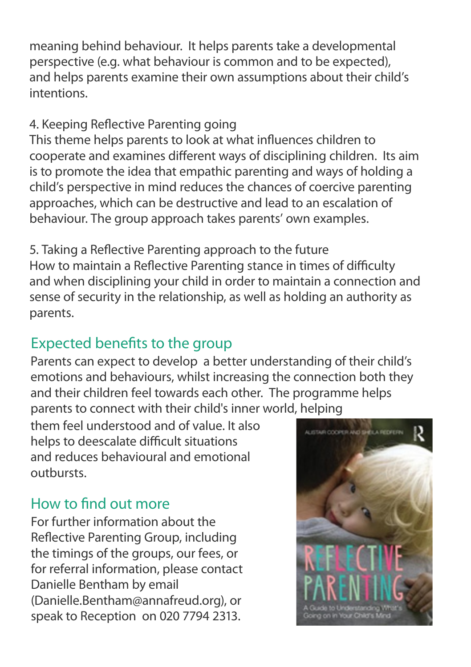meaning behind behaviour. It helps parents take a developmental perspective (e.g. what behaviour is common and to be expected), and helps parents examine their own assumptions about their child's intentions.

### 4. Keeping Reflective Parenting going

This theme helps parents to look at what influences children to cooperate and examines different ways of disciplining children. Its aim is to promote the idea that empathic parenting and ways of holding a child's perspective in mind reduces the chances of coercive parenting approaches, which can be destructive and lead to an escalation of behaviour. The group approach takes parents' own examples.

5. Taking a Reflective Parenting approach to the future How to maintain a Reflective Parenting stance in times of difficulty and when disciplining your child in order to maintain a connection and sense of security in the relationship, as well as holding an authority as parents.

## Expected benefits to the group

Parents can expect to develop a better understanding of their child's emotions and behaviours, whilst increasing the connection both they and their children feel towards each other. The programme helps parents to connect with their child's inner world, helping

them feel understood and of value. It also helps to deescalate difficult situations and reduces behavioural and emotional outbursts.

## How to find out more

For further information about the Reflective Parenting Group, including the timings of the groups, our fees, or for referral information, please contact Danielle Bentham by email (Danielle.Bentham@annafreud.org), or speak to Reception on 020 7794 2313.